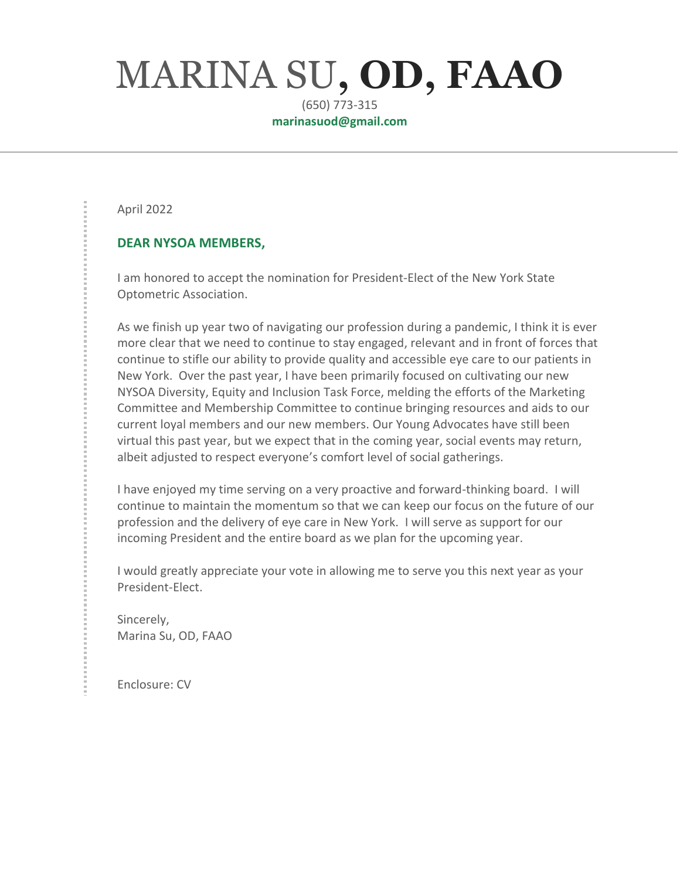# MARINA SU**, OD, FAAO**

(650) 773-315 **marinasuod@gmail.com**

April 2022

#### **DEAR NYSOA MEMBERS,**

I am honored to accept the nomination for President-Elect of the New York State Optometric Association.

As we finish up year two of navigating our profession during a pandemic, I think it is ever more clear that we need to continue to stay engaged, relevant and in front of forces that continue to stifle our ability to provide quality and accessible eye care to our patients in New York. Over the past year, I have been primarily focused on cultivating our new NYSOA Diversity, Equity and Inclusion Task Force, melding the efforts of the Marketing Committee and Membership Committee to continue bringing resources and aids to our current loyal members and our new members. Our Young Advocates have still been virtual this past year, but we expect that in the coming year, social events may return, albeit adjusted to respect everyone's comfort level of social gatherings.

I have enjoyed my time serving on a very proactive and forward-thinking board. I will continue to maintain the momentum so that we can keep our focus on the future of our profession and the delivery of eye care in New York. I will serve as support for our incoming President and the entire board as we plan for the upcoming year.

I would greatly appreciate your vote in allowing me to serve you this next year as your President-Elect.

Sincerely, Marina Su, OD, FAAO

Enclosure: CV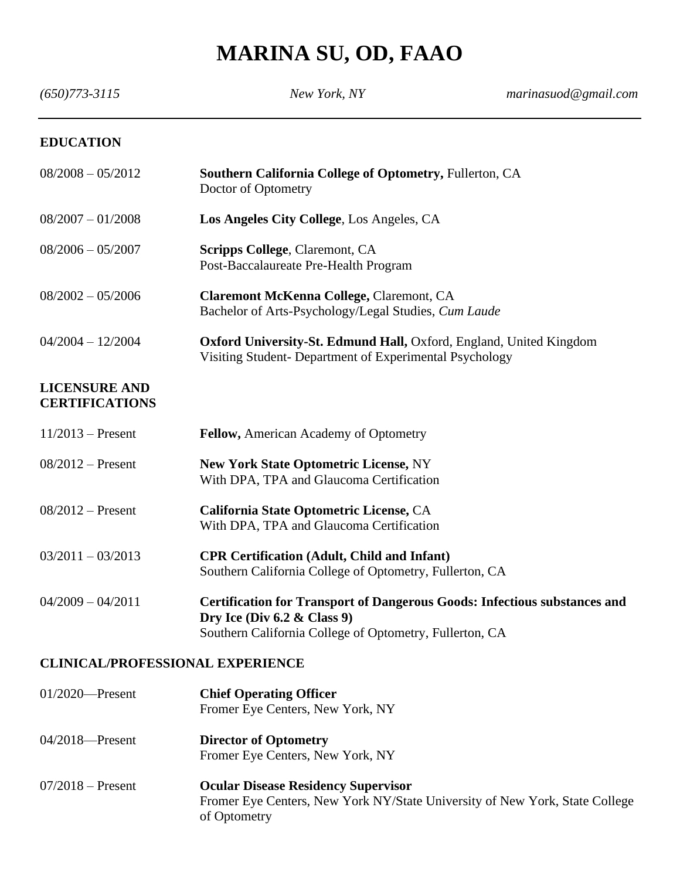## **MARINA SU, OD, FAAO**

| $(650)773 - 3115$                             | New York, NY                                                                                                                                                           | marinasuod@gmail.com |
|-----------------------------------------------|------------------------------------------------------------------------------------------------------------------------------------------------------------------------|----------------------|
| <b>EDUCATION</b>                              |                                                                                                                                                                        |                      |
| $08/2008 - 05/2012$                           | Southern California College of Optometry, Fullerton, CA<br>Doctor of Optometry                                                                                         |                      |
| $08/2007 - 01/2008$                           | Los Angeles City College, Los Angeles, CA                                                                                                                              |                      |
| $08/2006 - 05/2007$                           | <b>Scripps College, Claremont, CA</b><br>Post-Baccalaureate Pre-Health Program                                                                                         |                      |
| $08/2002 - 05/2006$                           | <b>Claremont McKenna College, Claremont, CA</b><br>Bachelor of Arts-Psychology/Legal Studies, Cum Laude                                                                |                      |
| $04/2004 - 12/2004$                           | Oxford University-St. Edmund Hall, Oxford, England, United Kingdom<br>Visiting Student- Department of Experimental Psychology                                          |                      |
| <b>LICENSURE AND</b><br><b>CERTIFICATIONS</b> |                                                                                                                                                                        |                      |
| $11/2013$ – Present                           | Fellow, American Academy of Optometry                                                                                                                                  |                      |
| $08/2012$ – Present                           | <b>New York State Optometric License, NY</b><br>With DPA, TPA and Glaucoma Certification                                                                               |                      |
| $08/2012$ – Present                           | California State Optometric License, CA<br>With DPA, TPA and Glaucoma Certification                                                                                    |                      |
| $03/2011 - 03/2013$                           | <b>CPR Certification (Adult, Child and Infant)</b><br>Southern California College of Optometry, Fullerton, CA                                                          |                      |
| $04/2009 - 04/2011$                           | Certification for Transport of Dangerous Goods: Infectious substances and<br>Dry Ice (Div $6.2 \&$ Class 9)<br>Southern California College of Optometry, Fullerton, CA |                      |
| <b>CLINICAL/PROFESSIONAL EXPERIENCE</b>       |                                                                                                                                                                        |                      |
| $01/2020$ —Present                            | <b>Chief Operating Officer</b><br>Fromer Eye Centers, New York, NY                                                                                                     |                      |

- 04/2018—Present **Director of Optometry** Fromer Eye Centers, New York, NY
- 07/2018 Present **Ocular Disease Residency Supervisor** Fromer Eye Centers, New York NY/State University of New York, State College of Optometry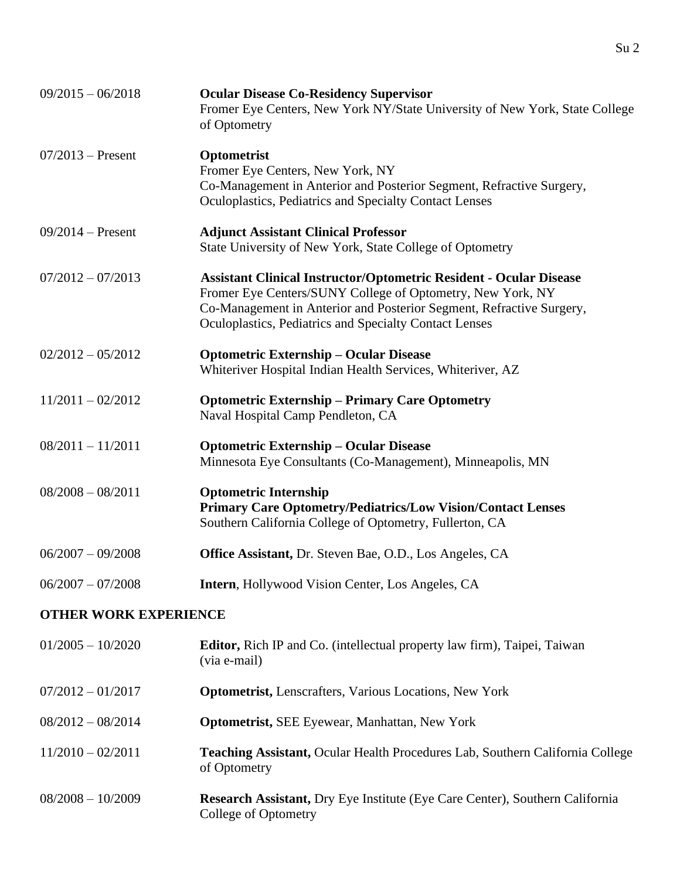| $09/2015 - 06/2018$          | <b>Ocular Disease Co-Residency Supervisor</b><br>Fromer Eye Centers, New York NY/State University of New York, State College<br>of Optometry                                                                                                                              |
|------------------------------|---------------------------------------------------------------------------------------------------------------------------------------------------------------------------------------------------------------------------------------------------------------------------|
| $07/2013 -$ Present          | Optometrist<br>Fromer Eye Centers, New York, NY<br>Co-Management in Anterior and Posterior Segment, Refractive Surgery,<br>Oculoplastics, Pediatrics and Specialty Contact Lenses                                                                                         |
| $09/2014 -$ Present          | <b>Adjunct Assistant Clinical Professor</b><br>State University of New York, State College of Optometry                                                                                                                                                                   |
| $07/2012 - 07/2013$          | <b>Assistant Clinical Instructor/Optometric Resident - Ocular Disease</b><br>Fromer Eye Centers/SUNY College of Optometry, New York, NY<br>Co-Management in Anterior and Posterior Segment, Refractive Surgery,<br>Oculoplastics, Pediatrics and Specialty Contact Lenses |
| $02/2012 - 05/2012$          | <b>Optometric Externship - Ocular Disease</b><br>Whiteriver Hospital Indian Health Services, Whiteriver, AZ                                                                                                                                                               |
| $11/2011 - 02/2012$          | <b>Optometric Externship - Primary Care Optometry</b><br>Naval Hospital Camp Pendleton, CA                                                                                                                                                                                |
| $08/2011 - 11/2011$          | <b>Optometric Externship – Ocular Disease</b><br>Minnesota Eye Consultants (Co-Management), Minneapolis, MN                                                                                                                                                               |
| $08/2008 - 08/2011$          | <b>Optometric Internship</b><br><b>Primary Care Optometry/Pediatrics/Low Vision/Contact Lenses</b><br>Southern California College of Optometry, Fullerton, CA                                                                                                             |
| $06/2007 - 09/2008$          | <b>Office Assistant, Dr. Steven Bae, O.D., Los Angeles, CA</b>                                                                                                                                                                                                            |
| $06/2007 - 07/2008$          | Intern, Hollywood Vision Center, Los Angeles, CA                                                                                                                                                                                                                          |
| <b>OTHER WORK EXPERIENCE</b> |                                                                                                                                                                                                                                                                           |
| $01/2005 - 10/2020$          | <b>Editor, Rich IP and Co.</b> (intellectual property law firm), Taipei, Taiwan<br>(via e-mail)                                                                                                                                                                           |
| $07/2012 - 01/2017$          | <b>Optometrist, Lenscrafters, Various Locations, New York</b>                                                                                                                                                                                                             |

- 08/2012 08/2014 **Optometrist,** SEE Eyewear, Manhattan, New York
- 11/2010 02/2011 **Teaching Assistant,** Ocular Health Procedures Lab, Southern California College of Optometry
- 08/2008 10/2009 **Research Assistant,** Dry Eye Institute (Eye Care Center), Southern California College of Optometry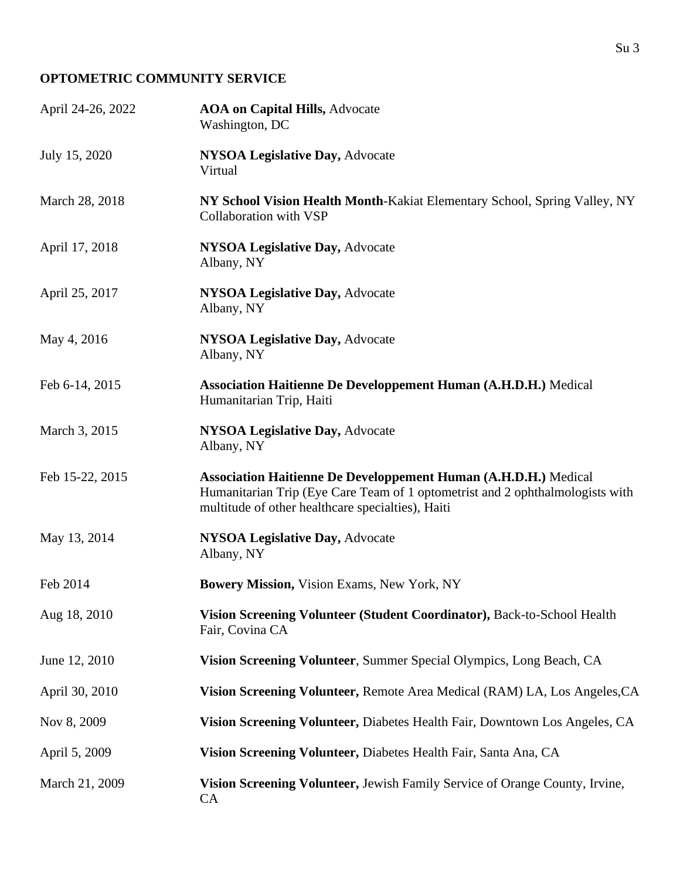#### **OPTOMETRIC COMMUNITY SERVICE**

| April 24-26, 2022 | <b>AOA on Capital Hills, Advocate</b><br>Washington, DC                                                                                                                                                      |
|-------------------|--------------------------------------------------------------------------------------------------------------------------------------------------------------------------------------------------------------|
| July 15, 2020     | NYSOA Legislative Day, Advocate<br>Virtual                                                                                                                                                                   |
| March 28, 2018    | NY School Vision Health Month-Kakiat Elementary School, Spring Valley, NY<br>Collaboration with VSP                                                                                                          |
| April 17, 2018    | <b>NYSOA Legislative Day, Advocate</b><br>Albany, NY                                                                                                                                                         |
| April 25, 2017    | <b>NYSOA Legislative Day, Advocate</b><br>Albany, NY                                                                                                                                                         |
| May 4, 2016       | <b>NYSOA Legislative Day, Advocate</b><br>Albany, NY                                                                                                                                                         |
| Feb 6-14, 2015    | <b>Association Haitienne De Developpement Human (A.H.D.H.)</b> Medical<br>Humanitarian Trip, Haiti                                                                                                           |
| March 3, 2015     | <b>NYSOA Legislative Day, Advocate</b><br>Albany, NY                                                                                                                                                         |
| Feb 15-22, 2015   | <b>Association Haitienne De Developpement Human (A.H.D.H.)</b> Medical<br>Humanitarian Trip (Eye Care Team of 1 optometrist and 2 ophthalmologists with<br>multitude of other healthcare specialties), Haiti |
| May 13, 2014      | NYSOA Legislative Day, Advocate<br>Albany, NY                                                                                                                                                                |
| Feb 2014          | Bowery Mission, Vision Exams, New York, NY                                                                                                                                                                   |
| Aug 18, 2010      | Vision Screening Volunteer (Student Coordinator), Back-to-School Health<br>Fair, Covina CA                                                                                                                   |
| June 12, 2010     | Vision Screening Volunteer, Summer Special Olympics, Long Beach, CA                                                                                                                                          |
| April 30, 2010    | Vision Screening Volunteer, Remote Area Medical (RAM) LA, Los Angeles, CA                                                                                                                                    |
| Nov 8, 2009       | Vision Screening Volunteer, Diabetes Health Fair, Downtown Los Angeles, CA                                                                                                                                   |
| April 5, 2009     | Vision Screening Volunteer, Diabetes Health Fair, Santa Ana, CA                                                                                                                                              |
| March 21, 2009    | Vision Screening Volunteer, Jewish Family Service of Orange County, Irvine,<br>CA                                                                                                                            |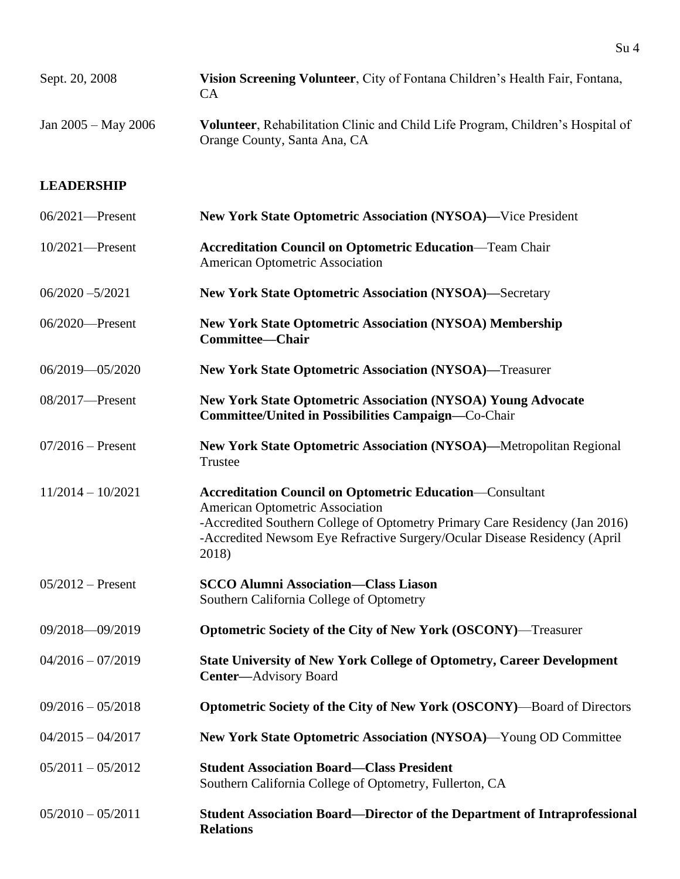| Sept. 20, 2008          | Vision Screening Volunteer, City of Fontana Children's Health Fair, Fontana,<br>CA)                                     |
|-------------------------|-------------------------------------------------------------------------------------------------------------------------|
| Jan $2005 -$ May $2006$ | <b>Volunteer</b> , Rehabilitation Clinic and Child Life Program, Children's Hospital of<br>Orange County, Santa Ana, CA |

#### **LEADERSHIP**

| $06/2021$ -Present  | <b>New York State Optometric Association (NYSOA)—Vice President</b>                                                                                                                                                                                                     |
|---------------------|-------------------------------------------------------------------------------------------------------------------------------------------------------------------------------------------------------------------------------------------------------------------------|
| $10/2021$ —Present  | <b>Accreditation Council on Optometric Education-Team Chair</b><br>American Optometric Association                                                                                                                                                                      |
| $06/2020 - 5/2021$  | <b>New York State Optometric Association (NYSOA)—Secretary</b>                                                                                                                                                                                                          |
| 06/2020—Present     | <b>New York State Optometric Association (NYSOA) Membership</b><br><b>Committee-Chair</b>                                                                                                                                                                               |
| 06/2019-05/2020     | <b>New York State Optometric Association (NYSOA)—Treasurer</b>                                                                                                                                                                                                          |
| $08/2017$ —Present  | <b>New York State Optometric Association (NYSOA) Young Advocate</b><br><b>Committee/United in Possibilities Campaign—Co-Chair</b>                                                                                                                                       |
| $07/2016$ – Present | New York State Optometric Association (NYSOA)—Metropolitan Regional<br>Trustee                                                                                                                                                                                          |
| $11/2014 - 10/2021$ | <b>Accreditation Council on Optometric Education—Consultant</b><br>American Optometric Association<br>-Accredited Southern College of Optometry Primary Care Residency (Jan 2016)<br>-Accredited Newsom Eye Refractive Surgery/Ocular Disease Residency (April<br>2018) |
| $05/2012$ – Present | <b>SCCO Alumni Association-Class Liason</b><br>Southern California College of Optometry                                                                                                                                                                                 |
| 09/2018-09/2019     | <b>Optometric Society of the City of New York (OSCONY)—Treasurer</b>                                                                                                                                                                                                    |
| $04/2016 - 07/2019$ | <b>State University of New York College of Optometry, Career Development</b><br><b>Center-Advisory Board</b>                                                                                                                                                            |
| $09/2016 - 05/2018$ | Optometric Society of the City of New York (OSCONY)—Board of Directors                                                                                                                                                                                                  |
| $04/2015 - 04/2017$ | New York State Optometric Association (NYSOA)—Young OD Committee                                                                                                                                                                                                        |
| $05/2011 - 05/2012$ | <b>Student Association Board—Class President</b><br>Southern California College of Optometry, Fullerton, CA                                                                                                                                                             |
| $05/2010 - 05/2011$ | <b>Student Association Board—Director of the Department of Intraprofessional</b><br><b>Relations</b>                                                                                                                                                                    |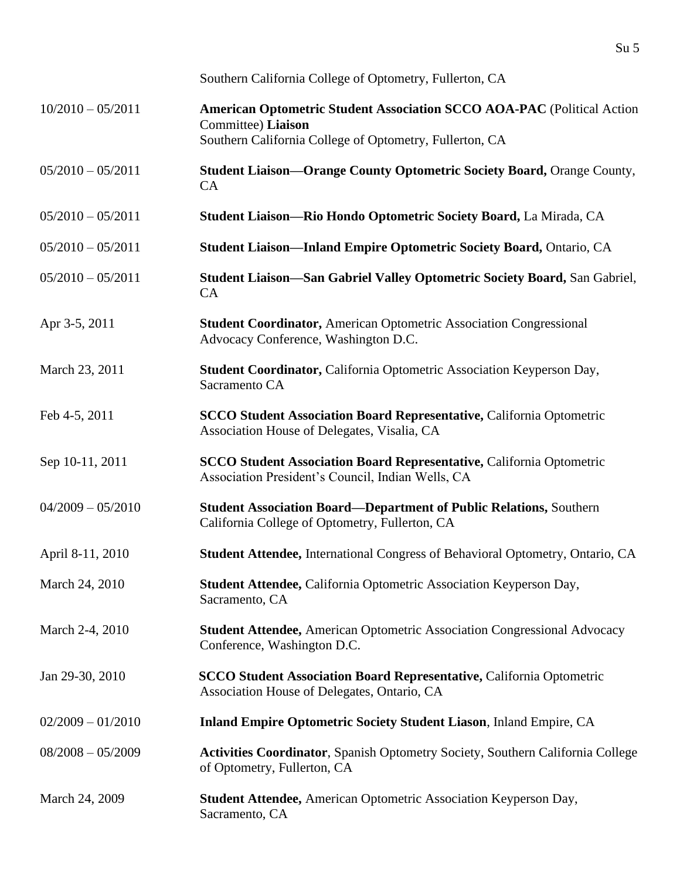|                     | Southern California College of Optometry, Fullerton, CA                                                                                                 |
|---------------------|---------------------------------------------------------------------------------------------------------------------------------------------------------|
| $10/2010 - 05/2011$ | American Optometric Student Association SCCO AOA-PAC (Political Action<br>Committee) Liaison<br>Southern California College of Optometry, Fullerton, CA |
| $05/2010 - 05/2011$ | <b>Student Liaison-Orange County Optometric Society Board, Orange County,</b><br><b>CA</b>                                                              |
| $05/2010 - 05/2011$ | Student Liaison-Rio Hondo Optometric Society Board, La Mirada, CA                                                                                       |
| $05/2010 - 05/2011$ | <b>Student Liaison-Inland Empire Optometric Society Board, Ontario, CA</b>                                                                              |
| $05/2010 - 05/2011$ | Student Liaison-San Gabriel Valley Optometric Society Board, San Gabriel,<br><b>CA</b>                                                                  |
| Apr 3-5, 2011       | <b>Student Coordinator, American Optometric Association Congressional</b><br>Advocacy Conference, Washington D.C.                                       |
| March 23, 2011      | Student Coordinator, California Optometric Association Keyperson Day,<br>Sacramento CA                                                                  |
| Feb 4-5, 2011       | <b>SCCO Student Association Board Representative, California Optometric</b><br>Association House of Delegates, Visalia, CA                              |
| Sep 10-11, 2011     | <b>SCCO Student Association Board Representative, California Optometric</b><br>Association President's Council, Indian Wells, CA                        |
| $04/2009 - 05/2010$ | <b>Student Association Board—Department of Public Relations, Southern</b><br>California College of Optometry, Fullerton, CA                             |
| April 8-11, 2010    | Student Attendee, International Congress of Behavioral Optometry, Ontario, CA                                                                           |
| March 24, 2010      | Student Attendee, California Optometric Association Keyperson Day,<br>Sacramento, CA                                                                    |
| March 2-4, 2010     | <b>Student Attendee, American Optometric Association Congressional Advocacy</b><br>Conference, Washington D.C.                                          |
| Jan 29-30, 2010     | <b>SCCO Student Association Board Representative, California Optometric</b><br>Association House of Delegates, Ontario, CA                              |
| $02/2009 - 01/2010$ | <b>Inland Empire Optometric Society Student Liason, Inland Empire, CA</b>                                                                               |
| $08/2008 - 05/2009$ | <b>Activities Coordinator</b> , Spanish Optometry Society, Southern California College<br>of Optometry, Fullerton, CA                                   |
| March 24, 2009      | <b>Student Attendee, American Optometric Association Keyperson Day,</b><br>Sacramento, CA                                                               |

Su 5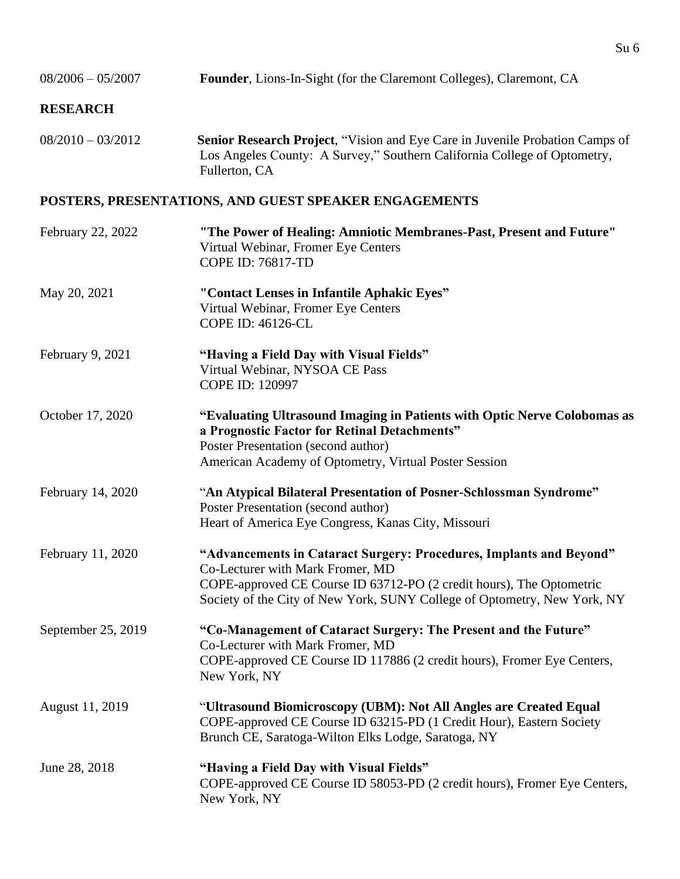| $08/2006 - 05/2007$ | Founder, Lions-In-Sight (for the Claremont Colleges), Claremont, CA                                                                                                                                                                                         |
|---------------------|-------------------------------------------------------------------------------------------------------------------------------------------------------------------------------------------------------------------------------------------------------------|
| <b>RESEARCH</b>     |                                                                                                                                                                                                                                                             |
| $08/2010 - 03/2012$ | <b>Senior Research Project, "Vision and Eye Care in Juvenile Probation Camps of</b><br>Los Angeles County: A Survey," Southern California College of Optometry,<br>Fullerton, CA                                                                            |
|                     | POSTERS, PRESENTATIONS, AND GUEST SPEAKER ENGAGEMENTS                                                                                                                                                                                                       |
| February 22, 2022   | "The Power of Healing: Amniotic Membranes-Past, Present and Future"<br>Virtual Webinar, Fromer Eye Centers<br>COPE ID: 76817-TD                                                                                                                             |
| May 20, 2021        | "Contact Lenses in Infantile Aphakic Eyes"<br>Virtual Webinar, Fromer Eye Centers<br><b>COPE ID: 46126-CL</b>                                                                                                                                               |
| February 9, 2021    | "Having a Field Day with Visual Fields"<br>Virtual Webinar, NYSOA CE Pass<br>COPE ID: 120997                                                                                                                                                                |
| October 17, 2020    | "Evaluating Ultrasound Imaging in Patients with Optic Nerve Colobomas as<br>a Prognostic Factor for Retinal Detachments"<br>Poster Presentation (second author)<br>American Academy of Optometry, Virtual Poster Session                                    |
| February 14, 2020   | "An Atypical Bilateral Presentation of Posner-Schlossman Syndrome"<br>Poster Presentation (second author)<br>Heart of America Eye Congress, Kanas City, Missouri                                                                                            |
| February 11, 2020   | "Advancements in Cataract Surgery: Procedures, Implants and Beyond"<br>Co-Lecturer with Mark Fromer, MD<br>COPE-approved CE Course ID 63712-PO (2 credit hours), The Optometric<br>Society of the City of New York, SUNY College of Optometry, New York, NY |
| September 25, 2019  | "Co-Management of Cataract Surgery: The Present and the Future"<br>Co-Lecturer with Mark Fromer, MD<br>COPE-approved CE Course ID 117886 (2 credit hours), Fromer Eye Centers,<br>New York, NY                                                              |
| August 11, 2019     | "Ultrasound Biomicroscopy (UBM): Not All Angles are Created Equal<br>COPE-approved CE Course ID 63215-PD (1 Credit Hour), Eastern Society<br>Brunch CE, Saratoga-Wilton Elks Lodge, Saratoga, NY                                                            |
| June 28, 2018       | "Having a Field Day with Visual Fields"<br>COPE-approved CE Course ID 58053-PD (2 credit hours), Fromer Eye Centers,<br>New York, NY                                                                                                                        |

Su 6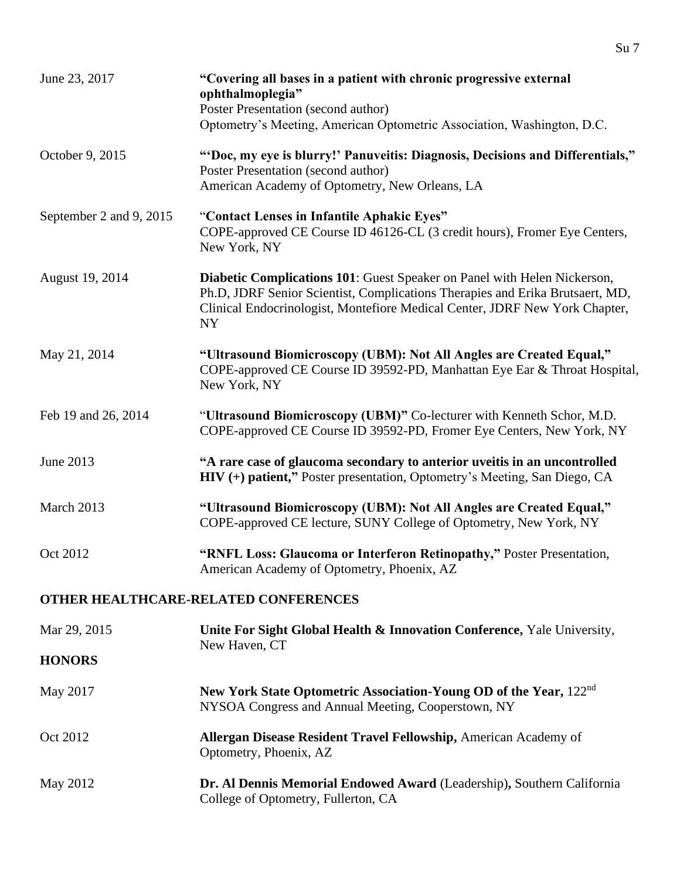| June 23, 2017           | "Covering all bases in a patient with chronic progressive external<br>ophthalmoplegia"<br>Poster Presentation (second author)<br>Optometry's Meeting, American Optometric Association, Washington, D.C.                                               |
|-------------------------|-------------------------------------------------------------------------------------------------------------------------------------------------------------------------------------------------------------------------------------------------------|
| October 9, 2015         | "Doc, my eye is blurry!' Panuveitis: Diagnosis, Decisions and Differentials,"<br>Poster Presentation (second author)<br>American Academy of Optometry, New Orleans, LA                                                                                |
| September 2 and 9, 2015 | "Contact Lenses in Infantile Aphakic Eyes"<br>COPE-approved CE Course ID 46126-CL (3 credit hours), Fromer Eye Centers,<br>New York, NY                                                                                                               |
| August 19, 2014         | Diabetic Complications 101: Guest Speaker on Panel with Helen Nickerson,<br>Ph.D, JDRF Senior Scientist, Complications Therapies and Erika Brutsaert, MD,<br>Clinical Endocrinologist, Montefiore Medical Center, JDRF New York Chapter,<br><b>NY</b> |
| May 21, 2014            | "Ultrasound Biomicroscopy (UBM): Not All Angles are Created Equal,"<br>COPE-approved CE Course ID 39592-PD, Manhattan Eye Ear & Throat Hospital,<br>New York, NY                                                                                      |
| Feb 19 and 26, 2014     | "Ultrasound Biomicroscopy (UBM)" Co-lecturer with Kenneth Schor, M.D.<br>COPE-approved CE Course ID 39592-PD, Fromer Eye Centers, New York, NY                                                                                                        |
| June 2013               | "A rare case of glaucoma secondary to anterior uveitis in an uncontrolled<br>HIV (+) patient," Poster presentation, Optometry's Meeting, San Diego, CA                                                                                                |
| March 2013              | "Ultrasound Biomicroscopy (UBM): Not All Angles are Created Equal,"<br>COPE-approved CE lecture, SUNY College of Optometry, New York, NY                                                                                                              |
| Oct 2012                | "RNFL Loss: Glaucoma or Interferon Retinopathy," Poster Presentation,<br>American Academy of Optometry, Phoenix, AZ                                                                                                                                   |
|                         | OTHER HEALTHCARE-RELATED CONFERENCES                                                                                                                                                                                                                  |
| Mar 29, 2015            | Unite For Sight Global Health & Innovation Conference, Yale University,                                                                                                                                                                               |
| <b>HONORS</b>           | New Haven, CT                                                                                                                                                                                                                                         |
| May 2017                | New York State Optometric Association-Young OD of the Year, 122 <sup>nd</sup><br>NYSOA Congress and Annual Meeting, Cooperstown, NY                                                                                                                   |
| Oct 2012                | Allergan Disease Resident Travel Fellowship, American Academy of<br>Optometry, Phoenix, AZ                                                                                                                                                            |
| May 2012                | Dr. Al Dennis Memorial Endowed Award (Leadership), Southern California<br>College of Optometry, Fullerton, CA                                                                                                                                         |

Su 7